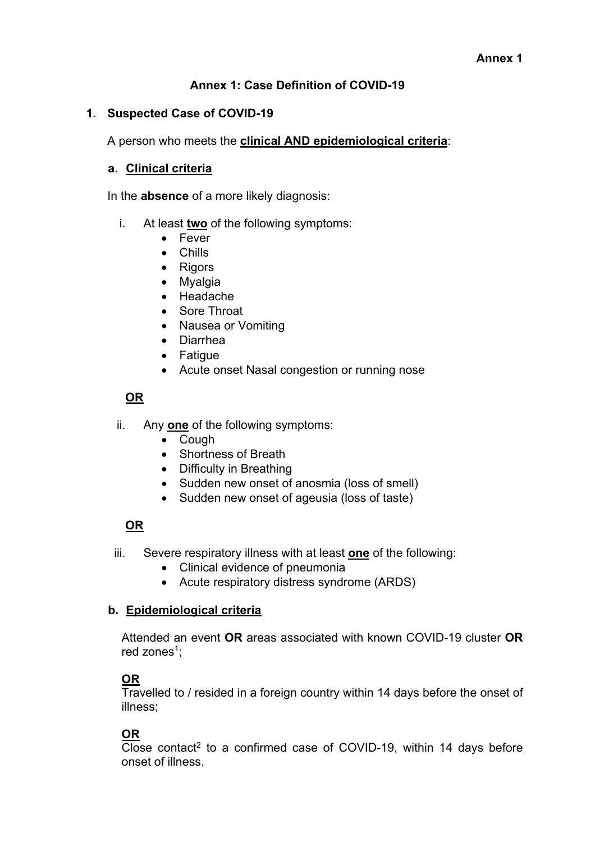## **Annex 1: Case Definition of COVID-19**

#### **1. Suspected Case of COVID-19**

A person who meets the **clinical AND epidemiological criteria**:

#### **a. Clinical criteria**

In the **absence** of a more likely diagnosis:

- i. At least **two** of the following symptoms:
	- Fever
	- Chills
	- Rigors
	- Myalgia
	- Headache
	- Sore Throat
	- Nausea or Vomiting
	- Diarrhea
	- Fatigue
	- Acute onset Nasal congestion or running nose

#### **OR**

- ii. Any **one** of the following symptoms:
	- Cough
	- Shortness of Breath
	- Difficulty in Breathing
	- Sudden new onset of anosmia (loss of smell)
	- Sudden new onset of ageusia (loss of taste)

# **OR**

- iii. Severe respiratory illness with at least **one** of the following:
	- Clinical evidence of pneumonia
	- Acute respiratory distress syndrome (ARDS)

#### **b. Epidemiological criteria**

Attended an event **OR** areas associated with known COVID-19 cluster **OR** red zones<sup>1</sup>:

#### **OR**

Travelled to / resided in a foreign country within 14 days before the onset of illness;

# **OR**

 $\overline{C}$ lose contact<sup>2</sup> to a confirmed case of COVID-19, within 14 days before onset of illness.